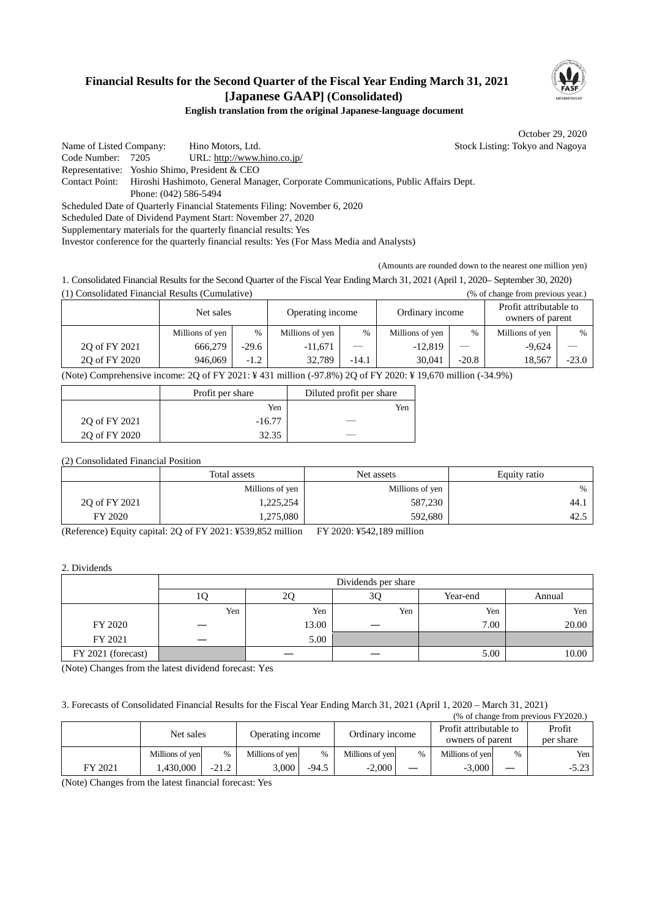# **Financial Results for the Second Quarter of the Fiscal Year Ending March 31, 2021 [Japanese GAAP] (Consolidated)**



### **English translation from the original Japanese-language document**

October 29, 2020

Name of Listed Company: Hino Motors, Ltd. Stock Listing: Tokyo and Nagoya Code Number: 7205 URL: http://www.hino.co.jp/ Representative: Yoshio Shimo, President & CEO Contact Point: Hiroshi Hashimoto, General Manager, Corporate Communications, Public Affairs Dept. Phone: (042) 586-5494 Scheduled Date of Quarterly Financial Statements Filing: November 6, 2020 Scheduled Date of Dividend Payment Start: November 27, 2020 Supplementary materials for the quarterly financial results: Yes

Investor conference for the quarterly financial results: Yes (For Mass Media and Analysts)

(Amounts are rounded down to the nearest one million yen)

1. Consolidated Financial Results for the Second Quarter of the Fiscal Year Ending March 31, 2021 (April 1, 2020– September 30, 2020) (1) Consolidated Financial Results (Cumulative) (% of change from previous year.)

|               | Net sales       |               | Operating income |               | Ordinary income |               | Profit attributable to<br>owners of parent |         |
|---------------|-----------------|---------------|------------------|---------------|-----------------|---------------|--------------------------------------------|---------|
|               | Millions of yen | $\frac{0}{6}$ | Millions of yen  | $\frac{0}{0}$ | Millions of yen | $\frac{0}{0}$ | Millions of yen                            | $\%$    |
| 20 of FY 2021 | 666,279         | $-29.6$       | $-11,67$         |               | $-12,819$       |               | $-9.624$                                   |         |
| 20 of FY 2020 | 946,069         | $-1.2$        | 32.789           | $-14.1$       | 30,041          | $-20.8$       | 18.567                                     | $-23.0$ |

(Note) Comprehensive income: 2Q of FY 2021: ¥ 431 million (-97.8%) 2Q of FY 2020: ¥ 19,670 million (-34.9%)

|               | Profit per share | Diluted profit per share |
|---------------|------------------|--------------------------|
|               | Yen              | Yen                      |
| 20 of FY 2021 | $-16.77$         |                          |
| 20 of FY 2020 | 32.35            |                          |

(2) Consolidated Financial Position

|               | Total assets    | Net assets      | Equity ratio |
|---------------|-----------------|-----------------|--------------|
|               | Millions of yen | Millions of yen | $\%$         |
| 20 of FY 2021 | .225,254        | 587,230         | 44.1         |
| FY 2020       | .275,080        | 592,680         | 42.5         |

(Reference) Equity capital: 2Q of FY 2021: ¥539,852 million FY 2020: ¥542,189 million

2. Dividends

|                    |     |       | Dividends per share |          |        |
|--------------------|-----|-------|---------------------|----------|--------|
|                    | ΙU  | ∠∪    | 3Q                  | Year-end | Annual |
|                    | Yen | Yen   | Yen                 | Yen      | Yen    |
| FY 2020            |     | 13.00 |                     | 7.00     | 20.00  |
| FY 2021            |     | 5.00  |                     |          |        |
| FY 2021 (forecast) |     |       |                     | 5.00     | 10.00  |

(Note) Changes from the latest dividend forecast: Yes

3. Forecasts of Consolidated Financial Results for the Fiscal Year Ending March 31, 2021 (April 1, 2020 – March 31, 2021)

| (% of change from previous FY2020.) |                 |               |                  |         |                 |               |                                            |               |                     |
|-------------------------------------|-----------------|---------------|------------------|---------|-----------------|---------------|--------------------------------------------|---------------|---------------------|
|                                     | Net sales       |               | Operating income |         | Ordinary income |               | Profit attributable to<br>owners of parent |               | Profit<br>per share |
|                                     | Millions of yen | $\frac{0}{0}$ | Millions of yen  | $\%$    | Millions of yen | $\frac{0}{0}$ | Millions of yen                            | $\frac{0}{0}$ | Yen                 |
| FY 2021                             | .430.000        | $-21.2$       | 3.000            | $-94.5$ | $-2,000$        | —             | $-3,000$                                   |               | $-5.23$             |

(Note) Changes from the latest financial forecast: Yes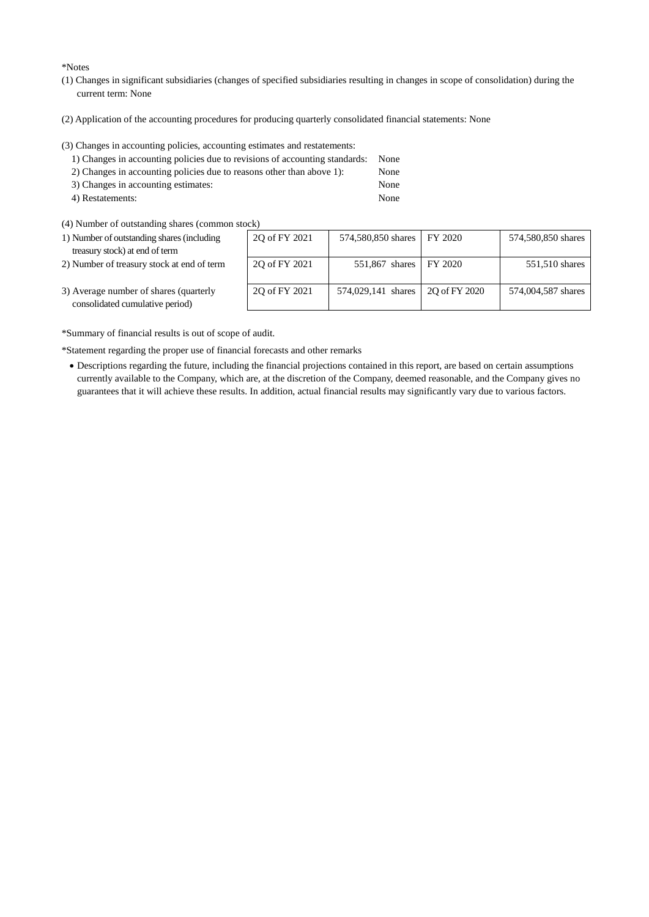\*Notes

- (1) Changes in significant subsidiaries (changes of specified subsidiaries resulting in changes in scope of consolidation) during the current term: None
- (2) Application of the accounting procedures for producing quarterly consolidated financial statements: None
- (3) Changes in accounting policies, accounting estimates and restatements:

| 1) Changes in accounting policies due to revisions of accounting standards: None |      |
|----------------------------------------------------------------------------------|------|
| 2) Changes in accounting policies due to reasons other than above 1):            | None |

- 3) Changes in accounting estimates: None 4) Restatements: None
- (4) Number of outstanding shares (common stock)

| 1) Number of outstanding shares (including                                | 20 of FY 2021 | 574,580,850 shares | FY 2020       | 574,580,850 shares |
|---------------------------------------------------------------------------|---------------|--------------------|---------------|--------------------|
| treasury stock) at end of term                                            |               |                    |               |                    |
| 2) Number of treasury stock at end of term                                | 20 of FY 2021 | 551,867 shares     | FY 2020       | 551,510 shares     |
| 3) Average number of shares (quarterly<br>consolidated cumulative period) | 20 of FY 2021 | 574,029,141 shares | 20 of FY 2020 | 574,004,587 shares |

\*Summary of financial results is out of scope of audit.

\*Statement regarding the proper use of financial forecasts and other remarks

• Descriptions regarding the future, including the financial projections contained in this report, are based on certain assumptions currently available to the Company, which are, at the discretion of the Company, deemed reasonable, and the Company gives no guarantees that it will achieve these results. In addition, actual financial results may significantly vary due to various factors.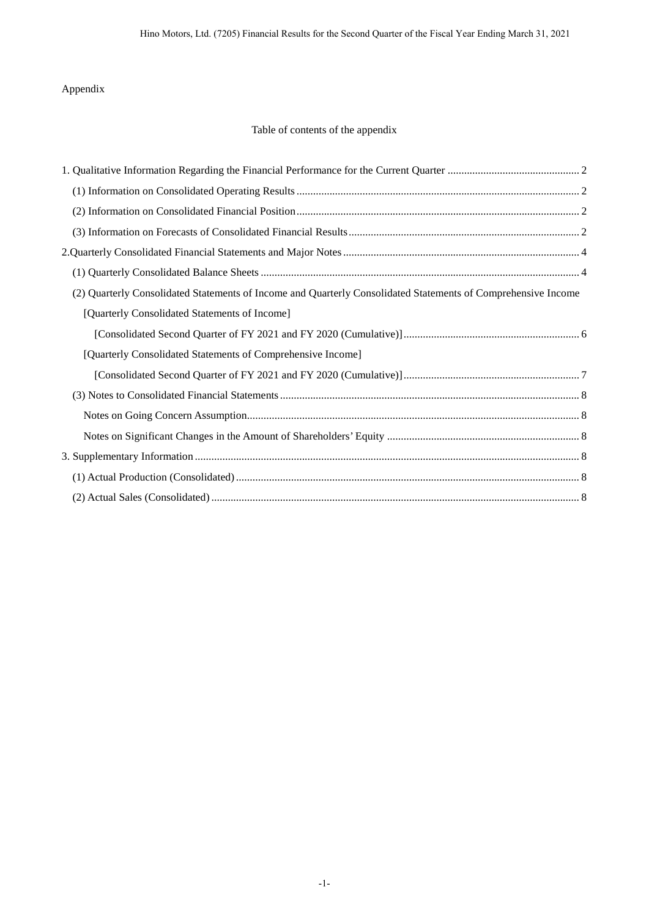# Appendix

## Table of contents of the appendix

| (2) Quarterly Consolidated Statements of Income and Quarterly Consolidated Statements of Comprehensive Income |  |
|---------------------------------------------------------------------------------------------------------------|--|
| [Quarterly Consolidated Statements of Income]                                                                 |  |
|                                                                                                               |  |
| [Quarterly Consolidated Statements of Comprehensive Income]                                                   |  |
|                                                                                                               |  |
|                                                                                                               |  |
|                                                                                                               |  |
|                                                                                                               |  |
|                                                                                                               |  |
|                                                                                                               |  |
|                                                                                                               |  |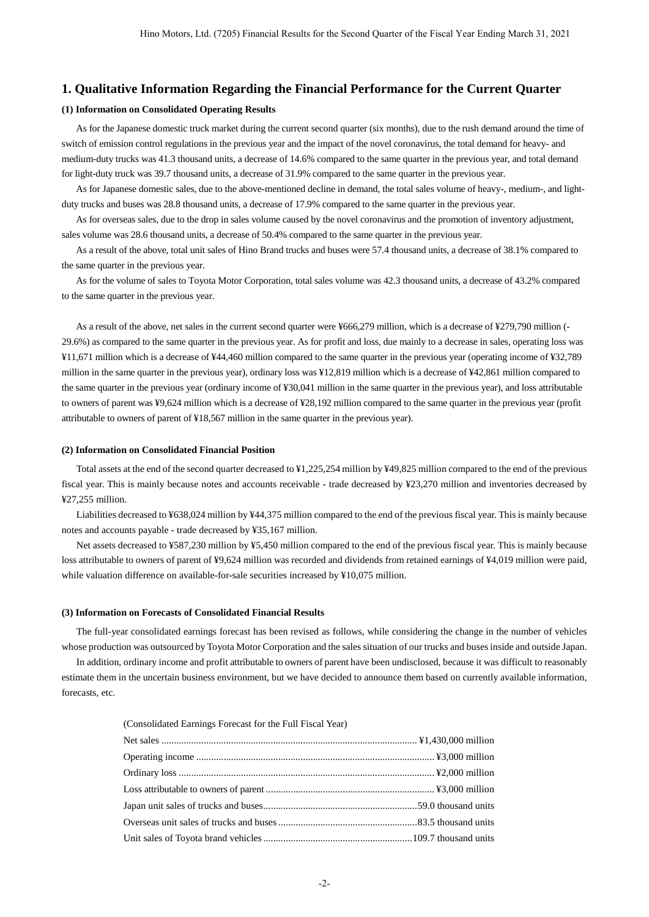### **1. Qualitative Information Regarding the Financial Performance for the Current Quarter**

#### **(1) Information on Consolidated Operating Results**

As for the Japanese domestic truck market during the current second quarter (six months), due to the rush demand around the time of switch of emission control regulations in the previous year and the impact of the novel coronavirus, the total demand for heavy- and medium-duty trucks was 41.3 thousand units, a decrease of 14.6% compared to the same quarter in the previous year, and total demand for light-duty truck was 39.7 thousand units, a decrease of 31.9% compared to the same quarter in the previous year.

As for Japanese domestic sales, due to the above-mentioned decline in demand, the total sales volume of heavy-, medium-, and lightduty trucks and buses was 28.8 thousand units, a decrease of 17.9% compared to the same quarter in the previous year.

As for overseas sales, due to the drop in sales volume caused by the novel coronavirus and the promotion of inventory adjustment, sales volume was 28.6 thousand units, a decrease of 50.4% compared to the same quarter in the previous year.

As a result of the above, total unit sales of Hino Brand trucks and buses were 57.4 thousand units, a decrease of 38.1% compared to the same quarter in the previous year.

As for the volume of sales to Toyota Motor Corporation, total sales volume was 42.3 thousand units, a decrease of 43.2% compared to the same quarter in the previous year.

As a result of the above, net sales in the current second quarter were ¥666,279 million, which is a decrease of ¥279,790 million (- 29.6%) as compared to the same quarter in the previous year. As for profit and loss, due mainly to a decrease in sales, operating loss was ¥11,671 million which is a decrease of ¥44,460 million compared to the same quarter in the previous year (operating income of ¥32,789 million in the same quarter in the previous year), ordinary loss was ¥12,819 million which is a decrease of ¥42,861 million compared to the same quarter in the previous year (ordinary income of ¥30,041 million in the same quarter in the previous year), and loss attributable to owners of parent was ¥9,624 million which is a decrease of ¥28,192 million compared to the same quarter in the previous year (profit attributable to owners of parent of ¥18,567 million in the same quarter in the previous year).

#### **(2) Information on Consolidated Financial Position**

Total assets at the end of the second quarter decreased to ¥1,225,254 million by ¥49,825 million compared to the end of the previous fiscal year. This is mainly because notes and accounts receivable - trade decreased by ¥23,270 million and inventories decreased by ¥27,255 million.

Liabilities decreased to ¥638,024 million by ¥44,375 million compared to the end of the previous fiscal year. This is mainly because notes and accounts payable - trade decreased by ¥35,167 million.

Net assets decreased to ¥587,230 million by ¥5,450 million compared to the end of the previous fiscal year. This is mainly because loss attributable to owners of parent of ¥9,624 million was recorded and dividends from retained earnings of ¥4,019 million were paid, while valuation difference on available-for-sale securities increased by ¥10,075 million.

#### **(3) Information on Forecasts of Consolidated Financial Results**

The full-year consolidated earnings forecast has been revised as follows, while considering the change in the number of vehicles whose production was outsourced by Toyota Motor Corporation and the sales situation of our trucks and buses inside and outside Japan.

In addition, ordinary income and profit attributable to owners of parent have been undisclosed, because it was difficult to reasonably estimate them in the uncertain business environment, but we have decided to announce them based on currently available information, forecasts, etc.

| (Consolidated Earnings Forecast for the Full Fiscal Year) |  |
|-----------------------------------------------------------|--|
|                                                           |  |
|                                                           |  |
|                                                           |  |
|                                                           |  |
|                                                           |  |
|                                                           |  |
|                                                           |  |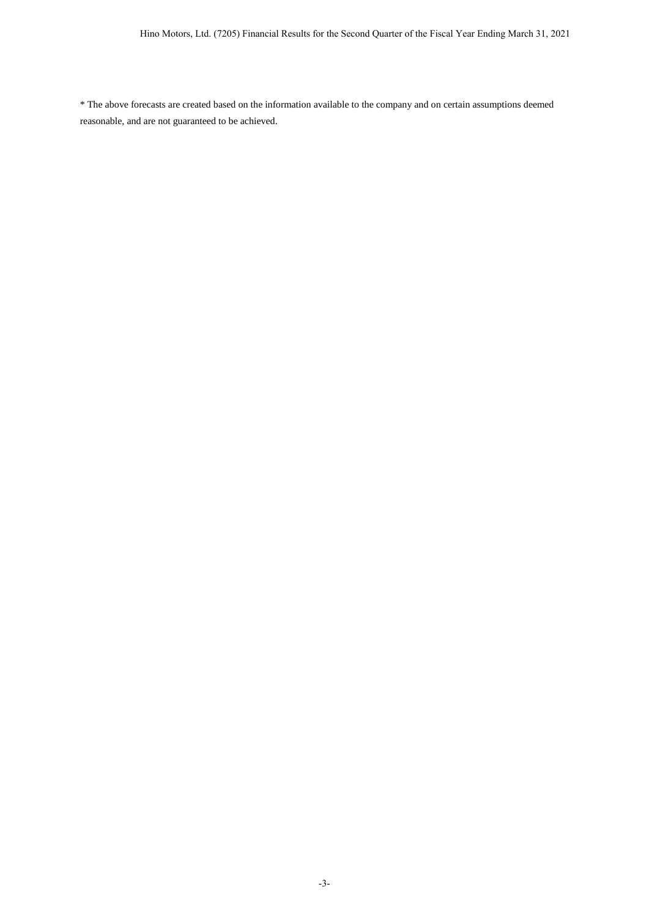\* The above forecasts are created based on the information available to the company and on certain assumptions deemed reasonable, and are not guaranteed to be achieved.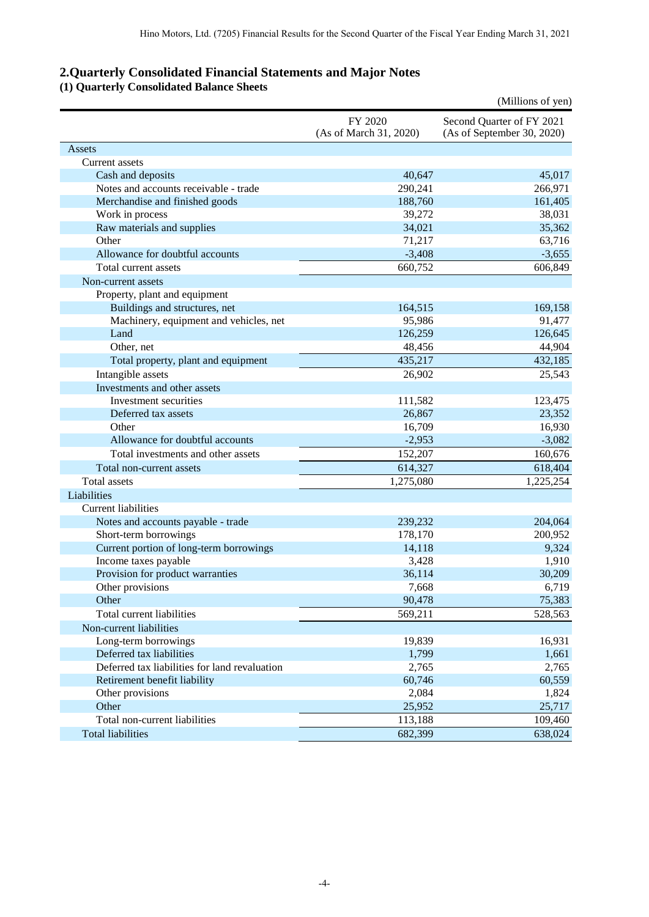# **2.Quarterly Consolidated Financial Statements and Major Notes**

### **(1) Quarterly Consolidated Balance Sheets**

|                                               |                                   | (Millions of yen)                                       |
|-----------------------------------------------|-----------------------------------|---------------------------------------------------------|
|                                               | FY 2020<br>(As of March 31, 2020) | Second Quarter of FY 2021<br>(As of September 30, 2020) |
| Assets                                        |                                   |                                                         |
| Current assets                                |                                   |                                                         |
| Cash and deposits                             | 40,647                            | 45,017                                                  |
| Notes and accounts receivable - trade         | 290,241                           | 266,971                                                 |
| Merchandise and finished goods                | 188,760                           | 161,405                                                 |
| Work in process                               | 39,272                            | 38,031                                                  |
| Raw materials and supplies                    | 34,021                            | 35,362                                                  |
| Other                                         | 71,217                            | 63,716                                                  |
| Allowance for doubtful accounts               | $-3,408$                          | $-3,655$                                                |
| Total current assets                          | 660,752                           | 606,849                                                 |
| Non-current assets                            |                                   |                                                         |
| Property, plant and equipment                 |                                   |                                                         |
| Buildings and structures, net                 | 164,515                           | 169,158                                                 |
| Machinery, equipment and vehicles, net        | 95,986                            | 91,477                                                  |
| Land                                          | 126,259                           | 126,645                                                 |
| Other, net                                    | 48,456                            | 44,904                                                  |
| Total property, plant and equipment           | 435,217                           | 432,185                                                 |
| Intangible assets                             | 26,902                            | 25,543                                                  |
| Investments and other assets                  |                                   |                                                         |
| Investment securities                         | 111,582                           | 123,475                                                 |
| Deferred tax assets                           | 26,867                            | 23,352                                                  |
| Other                                         | 16,709                            | 16,930                                                  |
| Allowance for doubtful accounts               | $-2,953$                          | $-3,082$                                                |
| Total investments and other assets            | 152,207                           | 160,676                                                 |
| Total non-current assets                      | 614,327                           | 618,404                                                 |
| <b>Total</b> assets                           | 1,275,080                         | 1,225,254                                               |
| Liabilities                                   |                                   |                                                         |
| <b>Current liabilities</b>                    |                                   |                                                         |
| Notes and accounts payable - trade            | 239,232                           | 204,064                                                 |
| Short-term borrowings                         | 178,170                           | 200,952                                                 |
| Current portion of long-term borrowings       | 14,118                            | 9,324                                                   |
| Income taxes payable                          | 3,428                             | 1,910                                                   |
| Provision for product warranties              | 36,114                            | 30,209                                                  |
| Other provisions                              | 7,668                             | 6,719                                                   |
| Other                                         | 90,478                            | 75,383                                                  |
| Total current liabilities                     | 569,211                           | 528,563                                                 |
| Non-current liabilities                       |                                   |                                                         |
| Long-term borrowings                          | 19,839                            | 16,931                                                  |
| Deferred tax liabilities                      | 1,799                             | 1,661                                                   |
| Deferred tax liabilities for land revaluation | 2,765                             | 2,765                                                   |
| Retirement benefit liability                  | 60,746                            | 60,559                                                  |
| Other provisions                              | 2,084                             | 1,824                                                   |
| Other                                         | 25,952                            | 25,717                                                  |
| Total non-current liabilities                 | 113,188                           | 109,460                                                 |
| <b>Total liabilities</b>                      | 682,399                           | 638,024                                                 |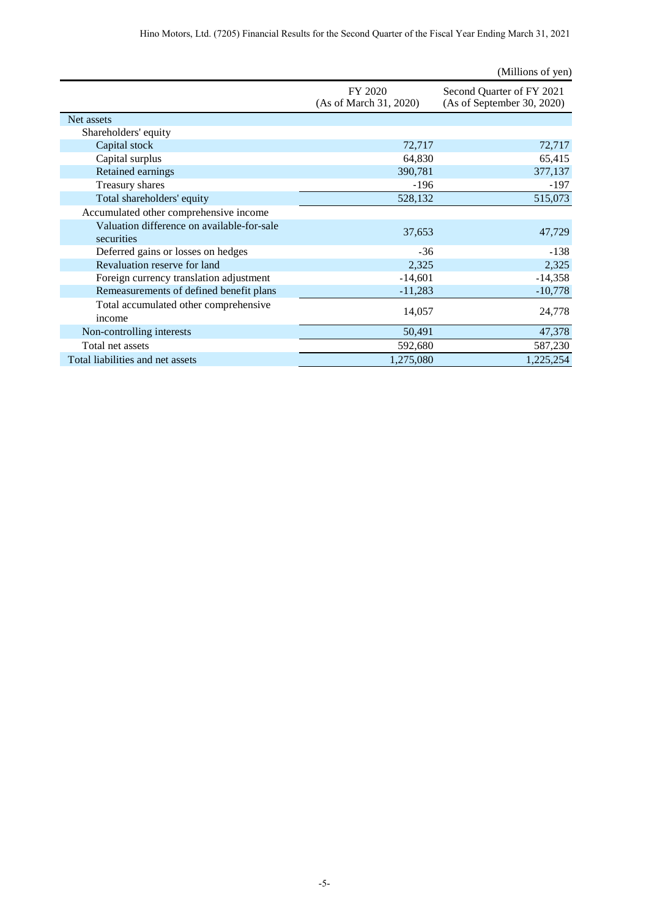|                                                          |                                   | (Millions of yen)                                       |
|----------------------------------------------------------|-----------------------------------|---------------------------------------------------------|
|                                                          | FY 2020<br>(As of March 31, 2020) | Second Quarter of FY 2021<br>(As of September 30, 2020) |
| Net assets                                               |                                   |                                                         |
| Shareholders' equity                                     |                                   |                                                         |
| Capital stock                                            | 72,717                            | 72,717                                                  |
| Capital surplus                                          | 64,830                            | 65,415                                                  |
| Retained earnings                                        | 390,781                           | 377,137                                                 |
| Treasury shares                                          | $-196$                            | $-197$                                                  |
| Total shareholders' equity                               | 528,132                           | 515,073                                                 |
| Accumulated other comprehensive income                   |                                   |                                                         |
| Valuation difference on available-for-sale<br>securities | 37,653                            | 47,729                                                  |
| Deferred gains or losses on hedges                       | $-36$                             | $-138$                                                  |
| Revaluation reserve for land                             | 2,325                             | 2,325                                                   |
| Foreign currency translation adjustment                  | $-14,601$                         | $-14,358$                                               |
| Remeasurements of defined benefit plans                  | $-11,283$                         | $-10,778$                                               |
| Total accumulated other comprehensive<br>income          | 14,057                            | 24,778                                                  |
| Non-controlling interests                                | 50,491                            | 47,378                                                  |
| Total net assets                                         | 592,680                           | 587,230                                                 |
| Total liabilities and net assets                         | 1,275,080                         | 1,225,254                                               |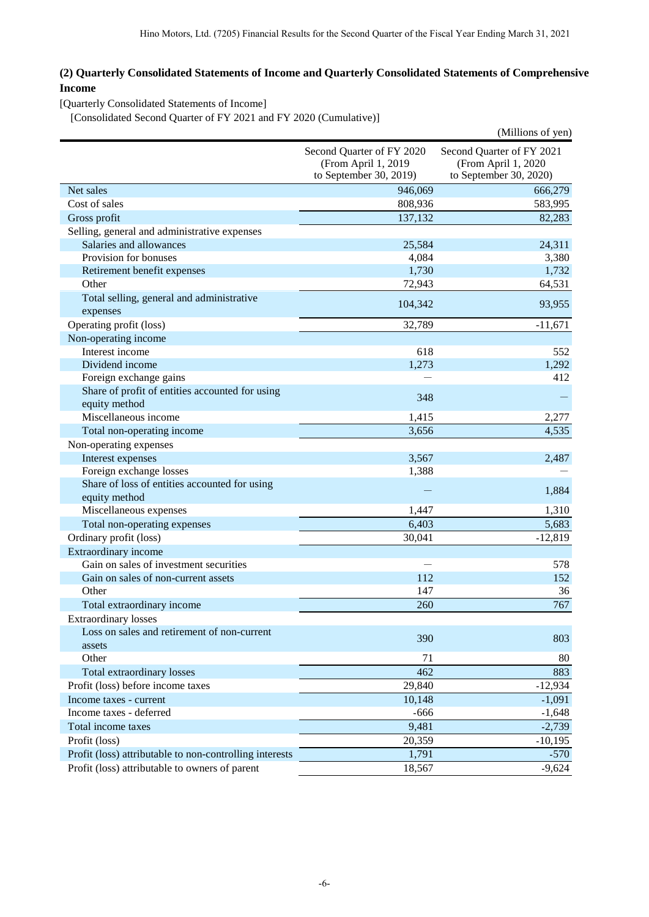## **(2) Quarterly Consolidated Statements of Income and Quarterly Consolidated Statements of Comprehensive Income**

[Quarterly Consolidated Statements of Income]

[Consolidated Second Quarter of FY 2021 and FY 2020 (Cumulative)]

|                                                         |                                                                            | (Millions of yen)                                                          |
|---------------------------------------------------------|----------------------------------------------------------------------------|----------------------------------------------------------------------------|
|                                                         | Second Quarter of FY 2020<br>(From April 1, 2019<br>to September 30, 2019) | Second Quarter of FY 2021<br>(From April 1, 2020<br>to September 30, 2020) |
| Net sales                                               | 946,069                                                                    | 666,279                                                                    |
| Cost of sales                                           | 808,936                                                                    | 583,995                                                                    |
| Gross profit                                            | 137,132                                                                    | 82,283                                                                     |
| Selling, general and administrative expenses            |                                                                            |                                                                            |
| Salaries and allowances                                 | 25,584                                                                     | 24,311                                                                     |
| Provision for bonuses                                   | 4,084                                                                      | 3,380                                                                      |
| Retirement benefit expenses                             | 1,730                                                                      | 1,732                                                                      |
| Other                                                   | 72,943                                                                     | 64,531                                                                     |
| Total selling, general and administrative               |                                                                            |                                                                            |
| expenses                                                | 104,342                                                                    | 93,955                                                                     |
| Operating profit (loss)                                 | 32,789                                                                     | $-11,671$                                                                  |
| Non-operating income                                    |                                                                            |                                                                            |
| Interest income                                         | 618                                                                        | 552                                                                        |
| Dividend income                                         | 1,273                                                                      | 1,292                                                                      |
| Foreign exchange gains                                  |                                                                            | 412                                                                        |
| Share of profit of entities accounted for using         |                                                                            |                                                                            |
| equity method                                           | 348                                                                        |                                                                            |
| Miscellaneous income                                    | 1,415                                                                      | 2,277                                                                      |
| Total non-operating income                              | 3,656                                                                      | 4,535                                                                      |
| Non-operating expenses                                  |                                                                            |                                                                            |
| Interest expenses                                       | 3,567                                                                      | 2,487                                                                      |
| Foreign exchange losses                                 | 1,388                                                                      |                                                                            |
| Share of loss of entities accounted for using           |                                                                            |                                                                            |
| equity method                                           |                                                                            | 1,884                                                                      |
| Miscellaneous expenses                                  | 1,447                                                                      | 1,310                                                                      |
| Total non-operating expenses                            | 6,403                                                                      | 5,683                                                                      |
| Ordinary profit (loss)                                  | 30,041                                                                     | $-12,819$                                                                  |
| Extraordinary income                                    |                                                                            |                                                                            |
| Gain on sales of investment securities                  |                                                                            | 578                                                                        |
| Gain on sales of non-current assets                     | 112                                                                        | 152                                                                        |
| Other                                                   | 147                                                                        | 36                                                                         |
| Total extraordinary income                              | 260                                                                        | 767                                                                        |
| <b>Extraordinary losses</b>                             |                                                                            |                                                                            |
| Loss on sales and retirement of non-current             |                                                                            |                                                                            |
| assets                                                  | 390                                                                        | 803                                                                        |
| Other                                                   | 71                                                                         | 80                                                                         |
| Total extraordinary losses                              | 462                                                                        | 883                                                                        |
| Profit (loss) before income taxes                       | 29,840                                                                     | $-12,934$                                                                  |
| Income taxes - current                                  | 10,148                                                                     | $-1,091$                                                                   |
| Income taxes - deferred                                 | $-666$                                                                     | $-1,648$                                                                   |
| Total income taxes                                      | 9,481                                                                      | $-2,739$                                                                   |
| Profit (loss)                                           | 20,359                                                                     | $-10,195$                                                                  |
| Profit (loss) attributable to non-controlling interests | 1,791                                                                      | $-570$                                                                     |
| Profit (loss) attributable to owners of parent          | 18,567                                                                     | $-9,624$                                                                   |
|                                                         |                                                                            |                                                                            |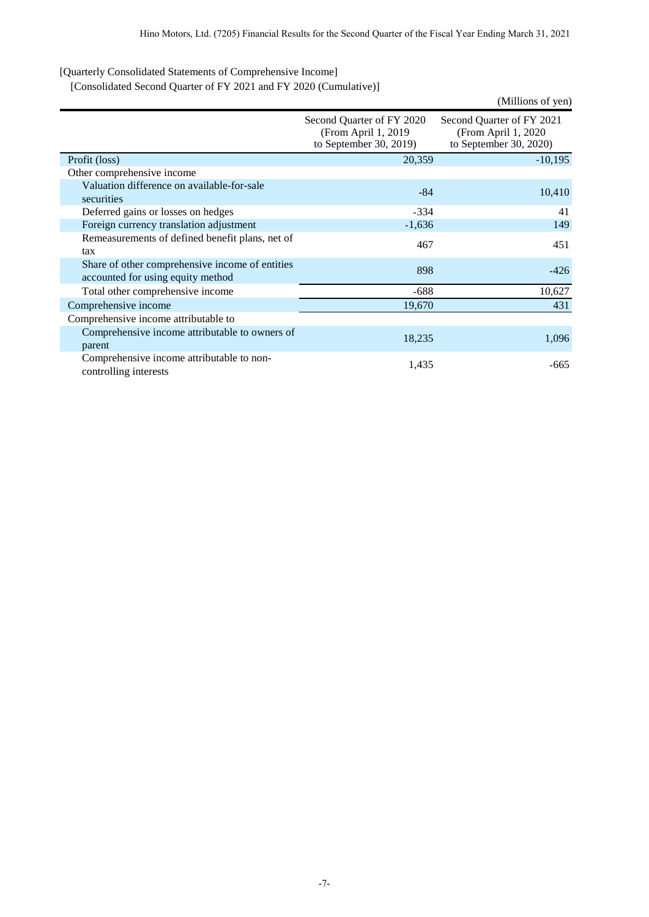[Quarterly Consolidated Statements of Comprehensive Income]

[Consolidated Second Quarter of FY 2021 and FY 2020 (Cumulative)]

|                                                                                      |                                                                            | (Millions of yen)                                                          |
|--------------------------------------------------------------------------------------|----------------------------------------------------------------------------|----------------------------------------------------------------------------|
|                                                                                      | Second Quarter of FY 2020<br>(From April 1, 2019<br>to September 30, 2019) | Second Quarter of FY 2021<br>(From April 1, 2020<br>to September 30, 2020) |
| Profit (loss)                                                                        | 20,359                                                                     | $-10,195$                                                                  |
| Other comprehensive income                                                           |                                                                            |                                                                            |
| Valuation difference on available-for-sale<br>securities                             | $-84$                                                                      | 10,410                                                                     |
| Deferred gains or losses on hedges                                                   | $-334$                                                                     | 41                                                                         |
| Foreign currency translation adjustment                                              | $-1,636$                                                                   | 149                                                                        |
| Remeasurements of defined benefit plans, net of<br>tax                               | 467                                                                        | 451                                                                        |
| Share of other comprehensive income of entities<br>accounted for using equity method | 898                                                                        | $-426$                                                                     |
| Total other comprehensive income                                                     | $-688$                                                                     | 10,627                                                                     |
| Comprehensive income                                                                 | 19,670                                                                     | 431                                                                        |
| Comprehensive income attributable to                                                 |                                                                            |                                                                            |
| Comprehensive income attributable to owners of<br>parent                             | 18,235                                                                     | 1,096                                                                      |
| Comprehensive income attributable to non-<br>controlling interests                   | 1,435                                                                      | $-665$                                                                     |